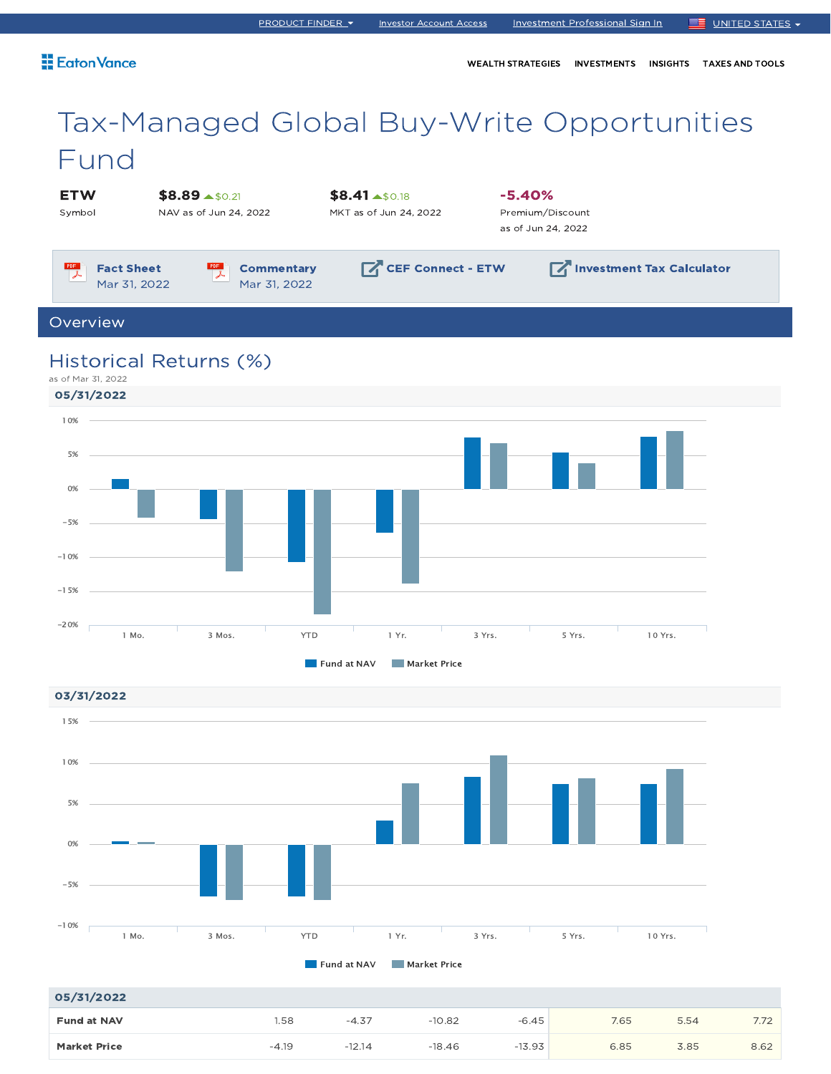## Eaton Vance

WEALTH STRATEGIES INVESTMENTS INSIGHTS TAXES AND TOOLS

# Tax-Managed Global Buy-Write Opportunities Fund

**ETW** Symbol  $$8.89 \text{ A}50.21$ 

NAV as of Jun 24, 2022

 $$8.41 \text{ } *50.18$ MKT as of Jun 24, 2022

-5.40% Premium/Discount as of Jun 24, 2022

 $PDF$ Fact Sheet 区 Mar 31, 2022

PDF **Commentary** Mar 31, 2022

**CEF Connect - ETW Investment Tax Calculator** 

Overview

# Historical Returns (%)

as of Mar 31, 2022



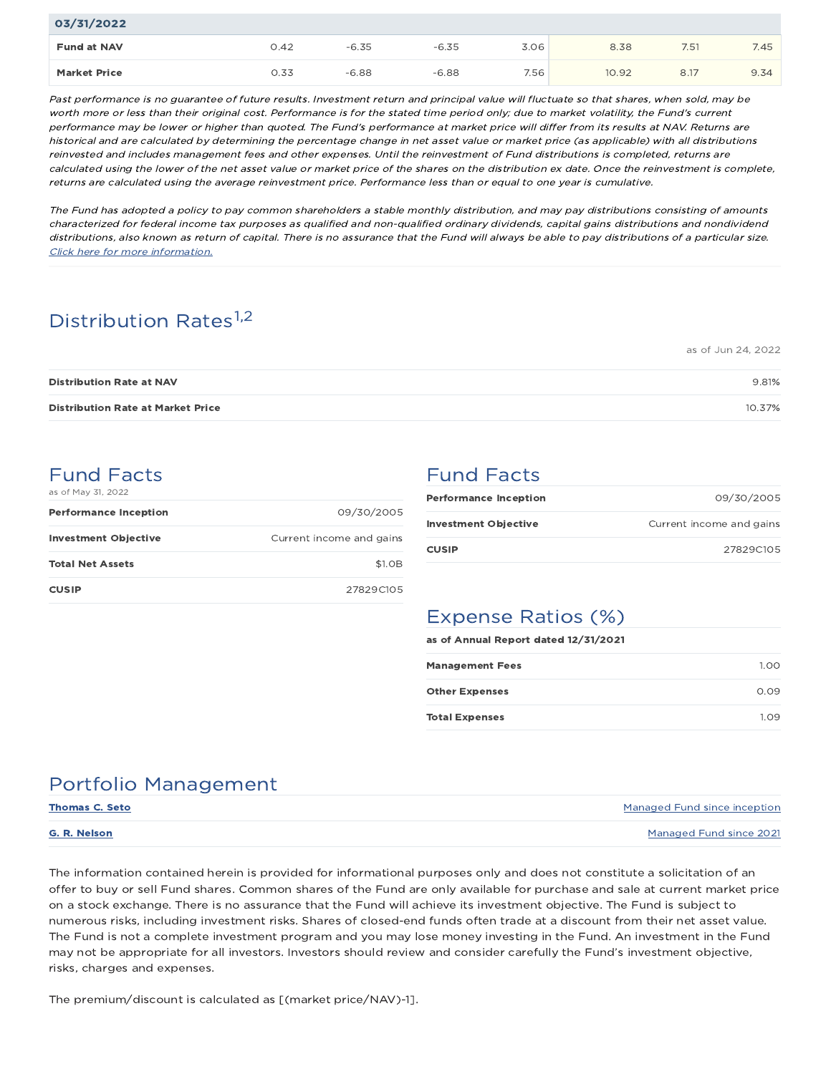| 03/31/2022          |      |         |         |      |       |      |      |
|---------------------|------|---------|---------|------|-------|------|------|
| <b>Fund at NAV</b>  | 0.42 | $-6.35$ | $-6.35$ | 3.06 | 8.38  | 7.51 | 7.45 |
| <b>Market Price</b> | 0.33 | $-6.88$ | $-6.88$ | 7.56 | 10.92 | 8.17 | 9.34 |

Past performance is no guarantee of future results. Investment return and principal value will fluctuate so that shares, when sold, may be worth more or less than their original cost. Performance is for the stated time period only; due to market volatility, the Fund's current performance may be lower or higher than quoted. The Fund's performance at market price will differ from its results at NAV. Returns are historical and are calculated by determining the percentage change in net asset value or market price (as applicable) with all distributions reinvested and includes management fees and other expenses. Until the reinvestment of Fund distributions is completed, returns are calculated using the lower of the net asset value or market price of the shares on the distribution ex date. Once the reinvestment is complete, returns are calculated using the average reinvestment price. Performance less than or equal to one year is cumulative.

The Fund has adopted a policy to pay common shareholders a stable monthly distribution, and may pay distributions consisting of amounts characterized for federal income tax purposes as qualified and non-qualified ordinary dividends, capital gains distributions and nondividend distributions, also known as return of capital. There is no assurance that the Fund will always be able to pay distributions of <sup>a</sup> particular size. Click here for more information.

# Distribution Rates<sup>1,2</sup>

|                                          | $1000 - 50112 - 7, 2022$ |
|------------------------------------------|--------------------------|
| <b>Distribution Rate at NAV</b>          | 9.81%                    |
| <b>Distribution Rate at Market Price</b> | 10.37%                   |

## Fund Facts as of May 31, 2022

| <b>Performance Inception</b> | 09/30/2005               |
|------------------------------|--------------------------|
| <b>Investment Objective</b>  | Current income and gains |
| <b>Total Net Assets</b>      | \$1.0 <sub>B</sub>       |
| <b>CUSIP</b>                 | 27829C105                |

# Fund Facts

| <b>Performance Inception</b> | 09/30/2005               |
|------------------------------|--------------------------|
| <b>Investment Objective</b>  | Current income and gains |
| <b>CUSIP</b>                 | 27829C105                |

as of Jun 24, 2022

# Expense Ratios (%)

| as of Annual Report dated 12/31/2021 |      |  |  |  |  |
|--------------------------------------|------|--|--|--|--|
| <b>Management Fees</b>               | 1.00 |  |  |  |  |
| <b>Other Expenses</b>                | 0.09 |  |  |  |  |
| <b>Total Expenses</b>                | 1.09 |  |  |  |  |

# Portfolio Management

| Thomas C. Seto | Managed Fund since inception |
|----------------|------------------------------|
| G. R. Nelson   | Managed Fund since 2021      |

The information contained herein is provided for informational purposes only and does not constitute a solicitation of an offer to buy or sell Fund shares. Common shares of the Fund are only available for purchase and sale at current market price on a stock exchange. There is no assurance that the Fund will achieve its investment objective. The Fund is subject to numerous risks, including investment risks. Shares of closed-end funds often trade at a discount from their net asset value. The Fund is not a complete investment program and you may lose money investing in the Fund. An investment in the Fund may not be appropriate for all investors. Investors should review and consider carefully the Fund's investment objective, risks, charges and expenses.

The premium/discount is calculated as [(market price/NAV)-1].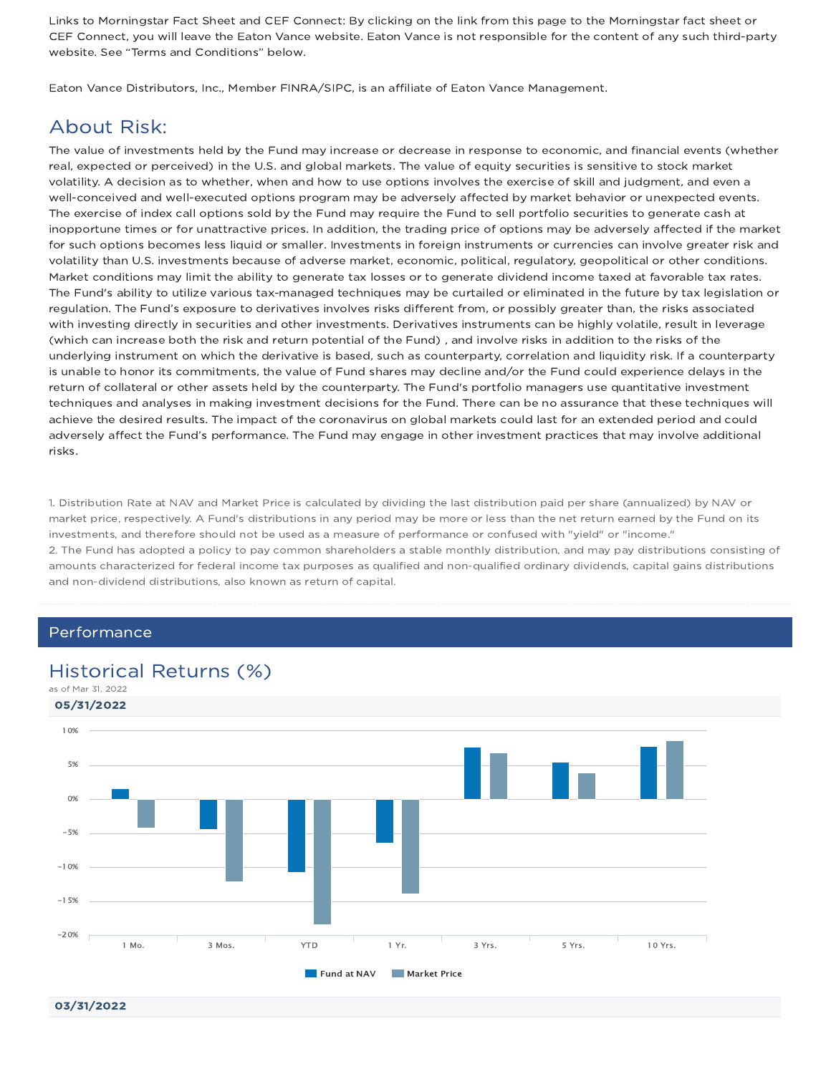Links to Morningstar Fact Sheet and CEF Connect: By clicking on the link from this page to the Morningstar fact sheet or CEF Connect, you will leave the Eaton Vance website. Eaton Vance is not responsible for the content of any such third-party website. See "Terms and Conditions" below.

Eaton Vance Distributors, Inc., Member FINRA/SIPC, is an affiliate of Eaton Vance Management.

## About Risk:

The value of investments held by the Fund may increase or decrease in response to economic, and financial events (whether real, expected or perceived) in the U.S. and global markets. The value of equity securities is sensitive to stock market volatility. A decision as to whether, when and how to use options involves the exercise of skill and judgment, and even a well-conceived and well-executed options program may be adversely affected by market behavior or unexpected events. The exercise of index call options sold by the Fund may require the Fund to sell portfolio securities to generate cash at inopportune times or for unattractive prices. In addition, the trading price of options may be adversely affected if the market for such options becomes less liquid or smaller. Investments in foreign instruments or currencies can involve greater risk and volatility than U.S. investments because of adverse market, economic, political, regulatory, geopolitical or other conditions. Market conditions may limit the ability to generate tax losses or to generate dividend income taxed at favorable tax rates. The Fund's ability to utilize various tax-managed techniques may be curtailed or eliminated in the future by tax legislation or regulation. The Fund's exposure to derivatives involves risks different from, or possibly greater than, the risks associated with investing directly in securities and other investments. Derivatives instruments can be highly volatile, result in leverage (which can increase both the risk and return potential of the Fund) , and involve risks in addition to the risks of the underlying instrument on which the derivative is based, such as counterparty, correlation and liquidity risk. If a counterparty is unable to honor its commitments, the value of Fund shares may decline and/or the Fund could experience delays in the return of collateral or other assets held by the counterparty. The Fund's portfolio managers use quantitative investment techniques and analyses in making investment decisions for the Fund. There can be no assurance that these techniques will achieve the desired results. The impact of the coronavirus on global markets could last for an extended period and could adversely affect the Fund's performance. The Fund may engage in other investment practices that may involve additional risks.

1. Distribution Rate at NAV and Market Price is calculated by dividing the last distribution paid per share (annualized) by NAV or market price, respectively. A Fund's distributions in any period may be more or less than the net return earned by the Fund on its investments, and therefore should not be used as a measure of performance or confused with "yield" or "income." 2. The Fund has adopted a policy to pay common shareholders a stable monthly distribution, and may pay distributions consisting of amounts characterized for federal income tax purposes as qualified and non-qualified ordinary dividends, capital gains distributions and non-dividend distributions, also known as return of capital.

## Performance

## Historical Returns (%)



03/31/2022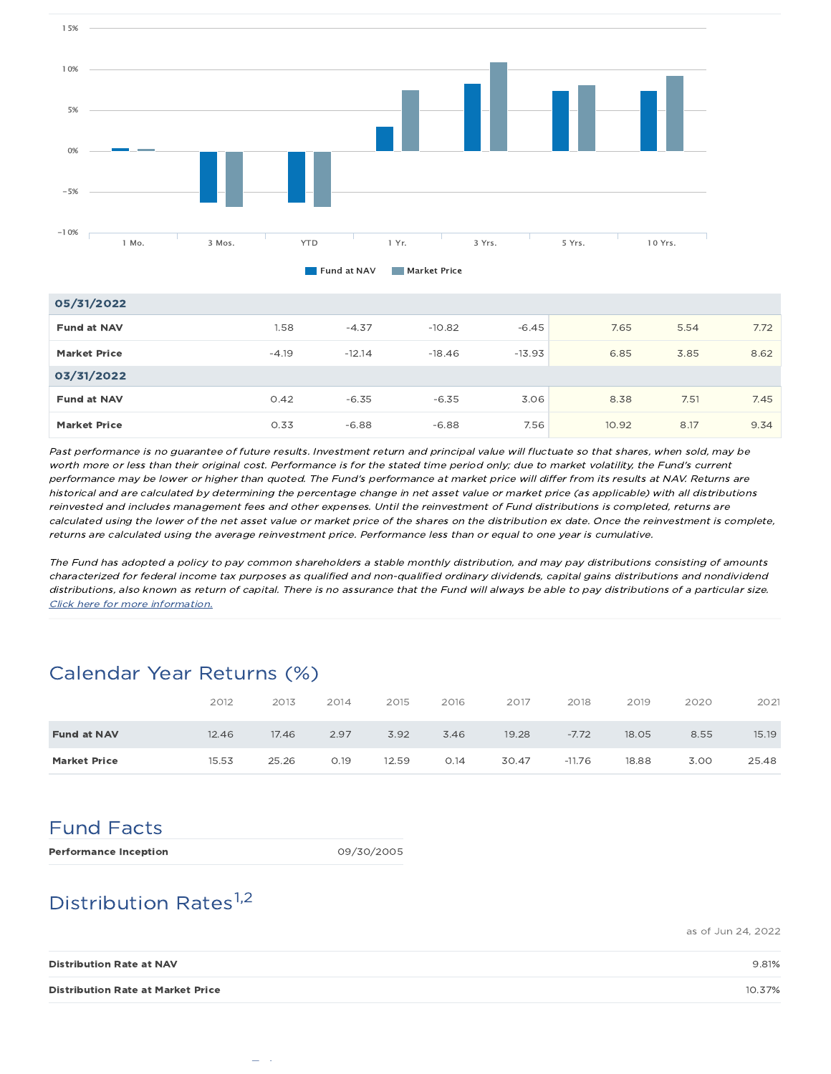

| 05/31/2022          |         |          |          |          |       |      |      |
|---------------------|---------|----------|----------|----------|-------|------|------|
| <b>Fund at NAV</b>  | 1.58    | $-4.37$  | $-10.82$ | $-6.45$  | 7.65  | 5.54 | 7.72 |
| <b>Market Price</b> | $-4.19$ | $-12.14$ | $-18.46$ | $-13.93$ | 6.85  | 3.85 | 8.62 |
| 03/31/2022          |         |          |          |          |       |      |      |
| <b>Fund at NAV</b>  | O.42    | $-6.35$  | $-6.35$  | 3.06     | 8.38  | 7.51 | 7.45 |
| <b>Market Price</b> | 0.33    | $-6.88$  | $-6.88$  | 7.56     | 10.92 | 8.17 | 9.34 |

Past performance is no guarantee of future results. Investment return and principal value will fluctuate so that shares, when sold, may be worth more or less than their original cost. Performance is for the stated time period only; due to market volatility, the Fund's current performance may be lower or higher than quoted. The Fund's performance at market price will differ from its results at NAV. Returns are historical and are calculated by determining the percentage change in net asset value or market price (as applicable) with all distributions reinvested and includes management fees and other expenses. Until the reinvestment of Fund distributions is completed, returns are calculated using the lower of the net asset value or market price of the shares on the distribution ex date. Once the reinvestment is complete, returns are calculated using the average reinvestment price. Performance less than or equal to one year is cumulative.

The Fund has adopted a policy to pay common shareholders a stable monthly distribution, and may pay distributions consisting of amounts characterized for federal income tax purposes as qualified and non-qualified ordinary dividends, capital gains distributions and nondividend distributions, also known as return of capital. There is no assurance that the Fund will always be able to pay distributions of <sup>a</sup> particular size. Click here for more information.

# Calendar Year Returns (%)

|                     | 2012  | 2013  | 2014 | 2015  | 2016 | 2017  | 2018     | 2019  | 2020 | 2021  |
|---------------------|-------|-------|------|-------|------|-------|----------|-------|------|-------|
| <b>Fund at NAV</b>  | 12.46 | 17.46 | 2.97 | 3.92  | 3.46 | 19.28 | $-7.72$  | 18.05 | 8.55 | 15.19 |
| <b>Market Price</b> | 15.53 | 25.26 | O.19 | 12.59 | 0.14 | 30.47 | $-11.76$ | 18.88 | 3.00 | 25.48 |

# Fund Facts

Performance Inception 09/30/2005

# Distribution Rates<sup>1,2</sup>

as of Jun 24, 2022

| <b>Distribution Rate at NAV</b>          | 9.81%  |
|------------------------------------------|--------|
| <b>Distribution Rate at Market Price</b> | 10.37% |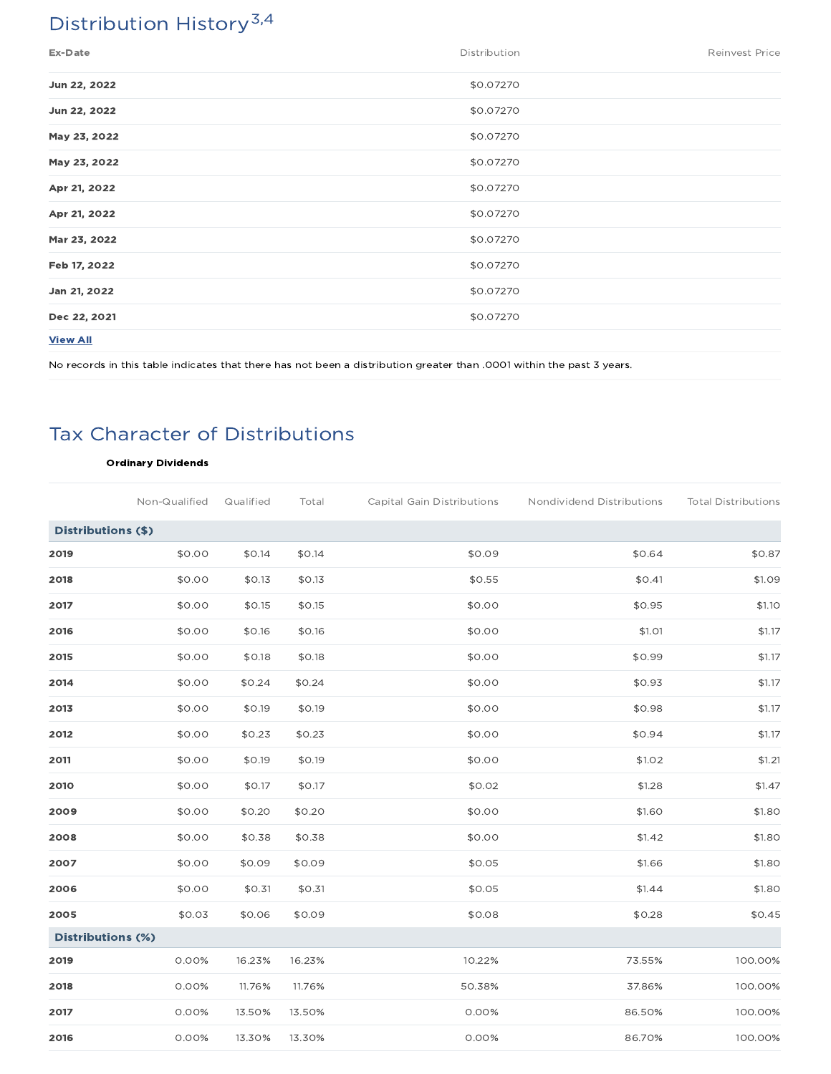# Distribution History<sup>3,4</sup>

| Ex-Date         | Distribution | <b>Reinvest Price</b> |
|-----------------|--------------|-----------------------|
| Jun 22, 2022    | \$0.07270    |                       |
| Jun 22, 2022    | \$0.07270    |                       |
| May 23, 2022    | \$0.07270    |                       |
| May 23, 2022    | \$0.07270    |                       |
| Apr 21, 2022    | \$0.07270    |                       |
| Apr 21, 2022    | \$0.07270    |                       |
| Mar 23, 2022    | \$0.07270    |                       |
| Feb 17, 2022    | \$0.07270    |                       |
| Jan 21, 2022    | \$0.07270    |                       |
| Dec 22, 2021    | \$0.07270    |                       |
| <b>View All</b> |              |                       |

No records in this table indicates that there has not been a distribution greater than .0001 within the past 3 years.

# Tax Character of Distributions

## Ordinary Dividends

|                          | Non-Qualified | Qualified | Total  | Capital Gain Distributions | Nondividend Distributions | <b>Total Distributions</b> |
|--------------------------|---------------|-----------|--------|----------------------------|---------------------------|----------------------------|
| Distributions (\$)       |               |           |        |                            |                           |                            |
| 2019                     | \$0.00        | \$0.14    | \$0.14 | \$0.09                     | \$0.64                    | \$0.87                     |
| 2018                     | \$0.00        | \$0.13    | \$0.13 | \$0.55                     | \$0.41                    | \$1.09                     |
| 2017                     | \$0.00        | \$0.15    | \$0.15 | \$0.00                     | \$0.95                    | \$1.10                     |
| 2016                     | \$0.00        | \$0.16    | \$0.16 | \$0.00                     | \$1.01                    | \$1.17                     |
| 2015                     | \$0.00        | \$0.18    | \$0.18 | \$0.00                     | \$0.99                    | \$1.17                     |
| 2014                     | \$0.00        | \$0.24    | \$0.24 | \$0.00                     | \$0.93                    | \$1.17                     |
| 2013                     | \$0.00        | \$0.19    | \$0.19 | \$0.00                     | \$0.98                    | \$1.17                     |
| 2012                     | \$0.00        | \$0.23    | \$0.23 | \$0.00                     | \$0.94                    | \$1.17                     |
| 2011                     | \$0.00        | \$0.19    | \$0.19 | \$0.00                     | \$1.02                    | \$1.21                     |
| 2010                     | \$0.00        | \$0.17    | \$0.17 | \$0.02                     | \$1.28                    | \$1.47                     |
| 2009                     | \$0.00        | \$0.20    | \$0.20 | \$0.00                     | \$1.60                    | \$1.80                     |
| 2008                     | \$0.00        | \$0.38    | \$0.38 | \$0.00                     | \$1.42                    | \$1.80                     |
| 2007                     | \$0.00        | \$0.09    | \$0.09 | \$0.05                     | \$1.66                    | \$1.80                     |
| 2006                     | \$0.00        | \$0.31    | \$0.31 | \$0.05                     | \$1.44                    | \$1.80                     |
| 2005                     | \$0.03        | \$0.06    | \$0.09 | \$0.08                     | \$0.28                    | \$0.45                     |
| <b>Distributions (%)</b> |               |           |        |                            |                           |                            |
| 2019                     | 0.00%         | 16.23%    | 16.23% | 10.22%                     | 73.55%                    | 100.00%                    |
| 2018                     | 0.00%         | 11.76%    | 11.76% | 50.38%                     | 37.86%                    | 100.00%                    |
| 2017                     | 0.00%         | 13.50%    | 13.50% | 0.00%                      | 86.50%                    | 100.00%                    |
| 2016                     | 0.00%         | 13.30%    | 13.30% | 0.00%                      | 86.70%                    | 100.00%                    |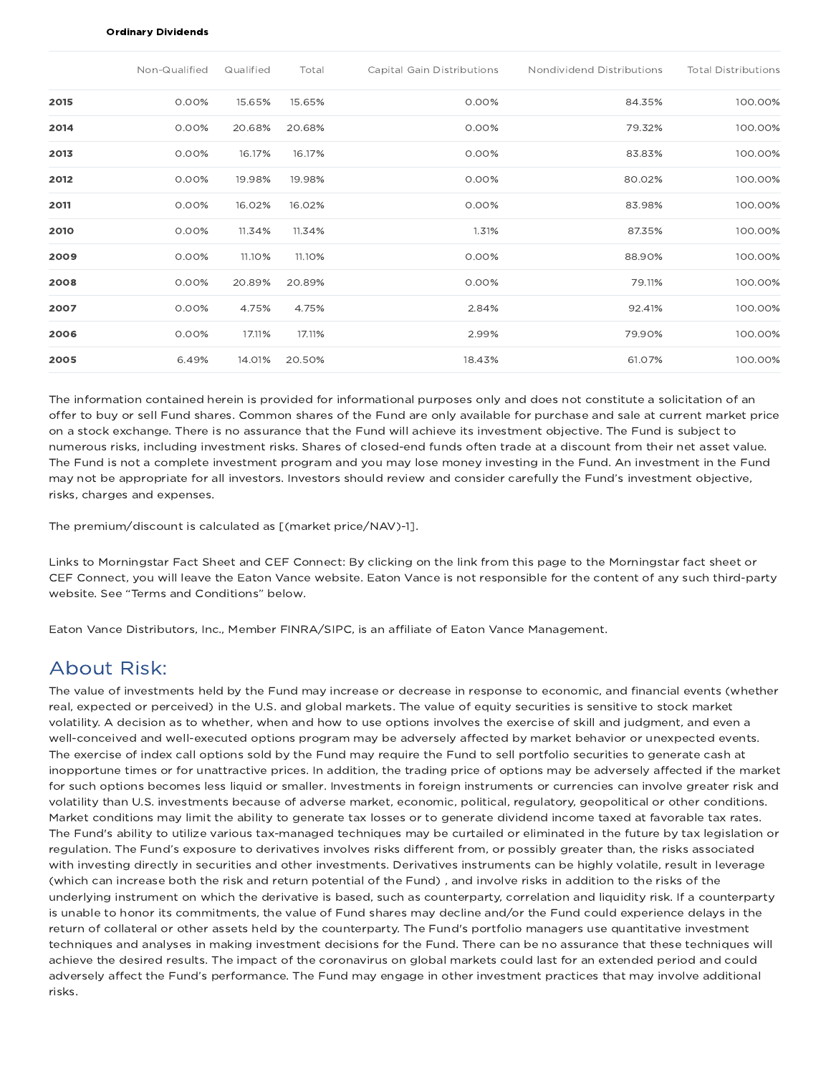#### Ordinary Dividends

|      | Non-Qualified | Qualified | Total  | Capital Gain Distributions | Nondividend Distributions | <b>Total Distributions</b> |
|------|---------------|-----------|--------|----------------------------|---------------------------|----------------------------|
| 2015 | 0.00%         | 15.65%    | 15.65% | 0.00%                      | 84.35%                    | 100.00%                    |
| 2014 | 0.00%         | 20.68%    | 20.68% | 0.00%                      | 79.32%                    | 100.00%                    |
| 2013 | 0.00%         | 16.17%    | 16.17% | 0.00%                      | 83.83%                    | 100.00%                    |
| 2012 | 0.00%         | 19.98%    | 19.98% | 0.00%                      | 80.02%                    | 100.00%                    |
| 2011 | 0.00%         | 16.02%    | 16.02% | 0.00%                      | 83.98%                    | 100.00%                    |
| 2010 | 0.00%         | 11.34%    | 11.34% | 1.31%                      | 87.35%                    | 100.00%                    |
| 2009 | 0.00%         | 11.10%    | 11.10% | 0.00%                      | 88.90%                    | 100.00%                    |
| 2008 | 0.00%         | 20.89%    | 20.89% | 0.00%                      | 79.11%                    | 100.00%                    |
| 2007 | 0.00%         | 4.75%     | 4.75%  | 2.84%                      | 92.41%                    | 100.00%                    |
| 2006 | 0.00%         | 17.11%    | 17.11% | 2.99%                      | 79.90%                    | 100.00%                    |
| 2005 | 6.49%         | 14.01%    | 20.50% | 18.43%                     | 61.07%                    | 100.00%                    |

The information contained herein is provided for informational purposes only and does not constitute a solicitation of an offer to buy or sell Fund shares. Common shares of the Fund are only available for purchase and sale at current market price on a stock exchange. There is no assurance that the Fund will achieve its investment objective. The Fund is subject to numerous risks, including investment risks. Shares of closed-end funds often trade at a discount from their net asset value. The Fund is not a complete investment program and you may lose money investing in the Fund. An investment in the Fund may not be appropriate for all investors. Investors should review and consider carefully the Fund's investment objective, risks, charges and expenses.

The premium/discount is calculated as [(market price/NAV)-1].

Links to Morningstar Fact Sheet and CEF Connect: By clicking on the link from this page to the Morningstar fact sheet or CEF Connect, you will leave the Eaton Vance website. Eaton Vance is not responsible for the content of any such third-party website. See "Terms and Conditions" below.

Eaton Vance Distributors, Inc., Member FINRA/SIPC, is an affiliate of Eaton Vance Management.

## About Risk:

The value of investments held by the Fund may increase or decrease in response to economic, and financial events (whether real, expected or perceived) in the U.S. and global markets. The value of equity securities is sensitive to stock market volatility. A decision as to whether, when and how to use options involves the exercise of skill and judgment, and even a well-conceived and well-executed options program may be adversely affected by market behavior or unexpected events. The exercise of index call options sold by the Fund may require the Fund to sell portfolio securities to generate cash at inopportune times or for unattractive prices. In addition, the trading price of options may be adversely affected if the market for such options becomes less liquid or smaller. Investments in foreign instruments or currencies can involve greater risk and volatility than U.S. investments because of adverse market, economic, political, regulatory, geopolitical or other conditions. Market conditions may limit the ability to generate tax losses or to generate dividend income taxed at favorable tax rates. The Fund's ability to utilize various tax-managed techniques may be curtailed or eliminated in the future by tax legislation or regulation. The Fund's exposure to derivatives involves risks different from, or possibly greater than, the risks associated with investing directly in securities and other investments. Derivatives instruments can be highly volatile, result in leverage (which can increase both the risk and return potential of the Fund) , and involve risks in addition to the risks of the underlying instrument on which the derivative is based, such as counterparty, correlation and liquidity risk. If a counterparty is unable to honor its commitments, the value of Fund shares may decline and/or the Fund could experience delays in the return of collateral or other assets held by the counterparty. The Fund's portfolio managers use quantitative investment techniques and analyses in making investment decisions for the Fund. There can be no assurance that these techniques will achieve the desired results. The impact of the coronavirus on global markets could last for an extended period and could adversely affect the Fund's performance. The Fund may engage in other investment practices that may involve additional risks.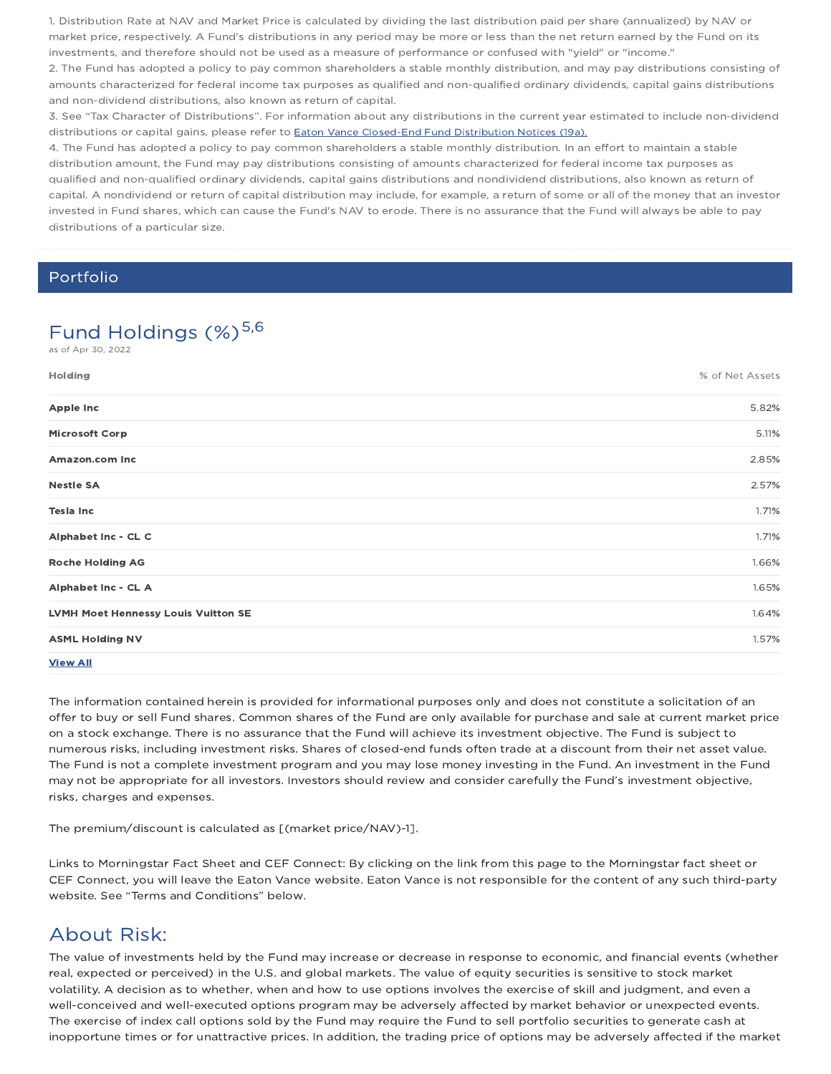1. Distribution Rate at NAV and Market Price is calculated by dividing the last distribution paid per share (annualized) by NAV or market price, respectively. A Fund's distributions in any period may be more or less than the net return earned by the Fund on its investments, and therefore should not be used as a measure of performance or confused with "yield" or "income."

2. The Fund has adopted a policy to pay common shareholders a stable monthly distribution, and may pay distributions consisting of amounts characterized for federal income tax purposes as qualified and non-qualified ordinary dividends, capital gains distributions and non-dividend distributions, also known as return of capital.

3. See "Tax Character of Distributions". For information about any distributions in the current year estimated to include non-dividend distributions or capital gains, please refer to **Eaton Vance Closed-End Fund Distribution Notices (19a)**.

4. The Fund has adopted a policy to pay common shareholders a stable monthly distribution. In an effort to maintain a stable distribution amount, the Fund may pay distributions consisting of amounts characterized for federal income tax purposes as qualified and non-qualified ordinary dividends, capital gains distributions and nondividend distributions, also known as return of capital. A nondividend or return of capital distribution may include, for example, a return of some or all of the money that an investor invested in Fund shares, which can cause the Fund's NAV to erode. There is no assurance that the Fund will always be able to pay distributions of a particular size.

## Portfolio

# Fund Holdings (%)<sup>5,6</sup>

Holding % of Net Assets Apple Inc 5.82% and 5.82% and 5.82% and 5.82% and 5.82% and 5.82% and 5.82% and 5.82% and 5.82% and 5.82% and 5.82% Microsoft Corp 5.11% Amazon.com Inc 2.85% Nestle SA 2.57% **Tesla Inc** $\blacksquare$  1.71% Alphabet Inc - CL C 1.71% Roche Holding AG 1.66% and the state of the control of the control of the control of the control of the control of the control of the control of the control of the control of the control of the control of the control of th Alphabet Inc - CL A 1.65% LVMH Moet Hennessy Louis Vuitton SE 1.64% ASML Holding NV 1.57% View All as of Apr 30, 2022

The information contained herein is provided for informational purposes only and does not constitute a solicitation of an offer to buy or sell Fund shares. Common shares of the Fund are only available for purchase and sale at current market price on a stock exchange. There is no assurance that the Fund will achieve its investment objective. The Fund is subject to numerous risks, including investment risks. Shares of closed-end funds often trade at a discount from their net asset value. The Fund is not a complete investment program and you may lose money investing in the Fund. An investment in the Fund may not be appropriate for all investors. Investors should review and consider carefully the Fund's investment objective, risks, charges and expenses.

The premium/discount is calculated as [(market price/NAV)-1].

Links to Morningstar Fact Sheet and CEF Connect: By clicking on the link from this page to the Morningstar fact sheet or CEF Connect, you will leave the Eaton Vance website. Eaton Vance is not responsible for the content of any such third-party website. See "Terms and Conditions" below.

## About Risk:

The value of investments held by the Fund may increase or decrease in response to economic, and financial events (whether real, expected or perceived) in the U.S. and global markets. The value of equity securities is sensitive to stock market volatility. A decision as to whether, when and how to use options involves the exercise of skill and judgment, and even a well-conceived and well-executed options program may be adversely affected by market behavior or unexpected events. The exercise of index call options sold by the Fund may require the Fund to sell portfolio securities to generate cash at inopportune times or for unattractive prices. In addition, the trading price of options may be adversely affected if the market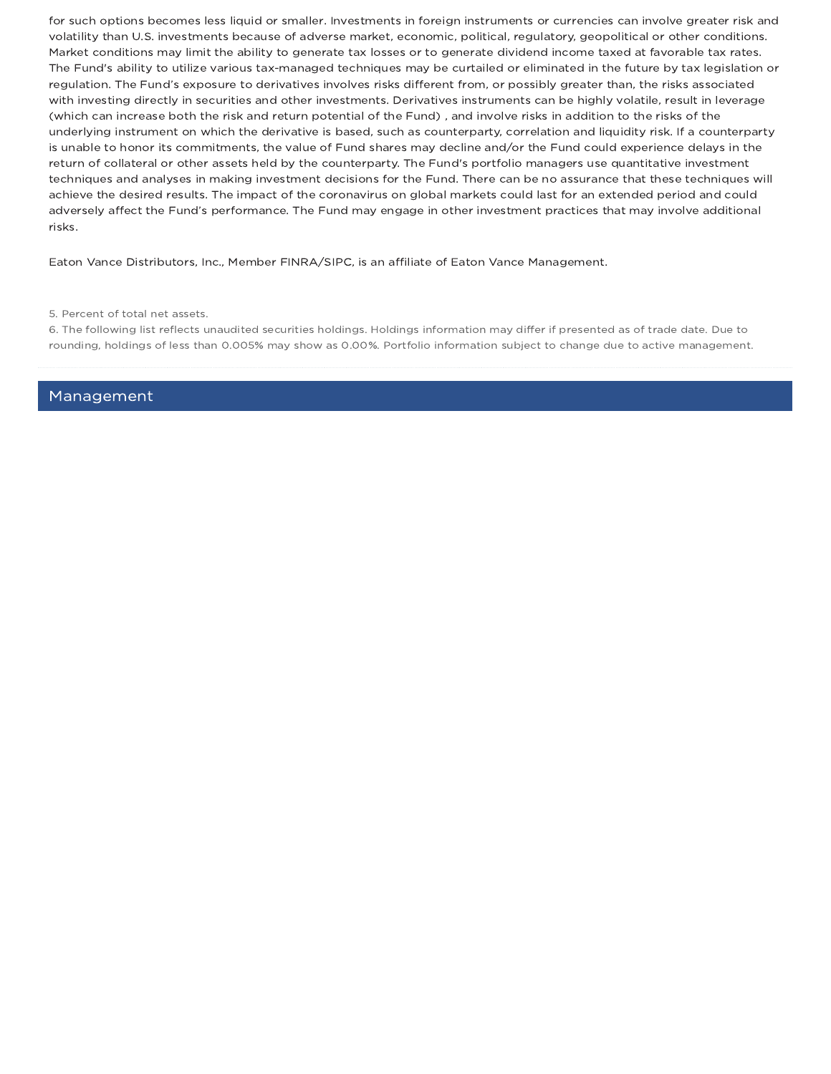for such options becomes less liquid or smaller. Investments in foreign instruments or currencies can involve greater risk and volatility than U.S. investments because of adverse market, economic, political, regulatory, geopolitical or other conditions. Market conditions may limit the ability to generate tax losses or to generate dividend income taxed at favorable tax rates. The Fund's ability to utilize various tax-managed techniques may be curtailed or eliminated in the future by tax legislation or regulation. The Fund's exposure to derivatives involves risks different from, or possibly greater than, the risks associated with investing directly in securities and other investments. Derivatives instruments can be highly volatile, result in leverage (which can increase both the risk and return potential of the Fund) , and involve risks in addition to the risks of the underlying instrument on which the derivative is based, such as counterparty, correlation and liquidity risk. If a counterparty is unable to honor its commitments, the value of Fund shares may decline and/or the Fund could experience delays in the return of collateral or other assets held by the counterparty. The Fund's portfolio managers use quantitative investment techniques and analyses in making investment decisions for the Fund. There can be no assurance that these techniques will achieve the desired results. The impact of the coronavirus on global markets could last for an extended period and could adversely affect the Fund's performance. The Fund may engage in other investment practices that may involve additional risks.

Eaton Vance Distributors, Inc., Member FINRA/SIPC, is an affiliate of Eaton Vance Management.

6. The following list reflects unaudited securities holdings. Holdings information may differ if presented as of trade date. Due to rounding, holdings of less than 0.005% may show as 0.00%. Portfolio information subject to change due to active management.

Management

<sup>5.</sup> Percent of total net assets.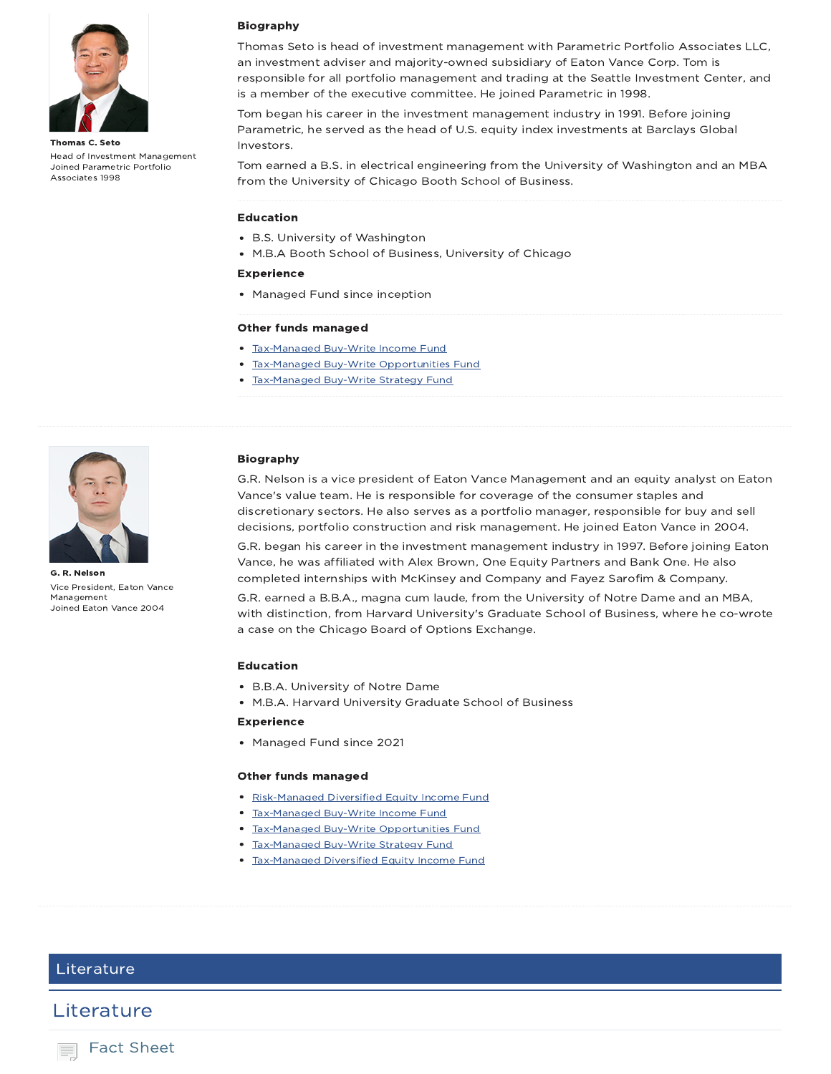

Thomas C. Seto Head of Investment Management Joined Parametric Portfolio Associates 1998

### Biography

Thomas Seto is head of investment management with Parametric Portfolio Associates LLC, an investment adviser and majority-owned subsidiary of Eaton Vance Corp. Tom is responsible for all portfolio management and trading at the Seattle Investment Center, and is a member of the executive committee. He joined Parametric in 1998.

Tom began his career in the investment management industry in 1991. Before joining Parametric, he served as the head of U.S. equity index investments at Barclays Global Investors.

Tom earned a B.S. in electrical engineering from the University of Washington and an MBA from the University of Chicago Booth School of Business.

#### Education

- B.S. University of Washington
- M.B.A Booth School of Business, University of Chicago

### Experience

• Managed Fund since inception

#### Other funds managed

- Tax-Managed Buy-Write Income Fund
- Tax-Managed Buy-Write Opportunities Fund
- Tax-Managed Buy-Write Strategy Fund



G. R. Nelson Vice President, Eaton Vance Management Joined Eaton Vance 2004

### Biography

G.R. Nelson is a vice president of Eaton Vance Management and an equity analyst on Eaton Vance's value team. He is responsible for coverage of the consumer staples and discretionary sectors. He also serves as a portfolio manager, responsible for buy and sell decisions, portfolio construction and risk management. He joined Eaton Vance in 2004.

G.R. began his career in the investment management industry in 1997. Before joining Eaton Vance, he was affiliated with Alex Brown, One Equity Partners and Bank One. He also completed internships with McKinsey and Company and Fayez Sarofim & Company.

G.R. earned a B.B.A., magna cum laude, from the University of Notre Dame and an MBA, with distinction, from Harvard University's Graduate School of Business, where he co-wrote a case on the Chicago Board of Options Exchange.

#### Education

- B.B.A. University of Notre Dame
- M.B.A. Harvard University Graduate School of Business

### Experience

Managed Fund since 2021

#### Other funds managed

- Risk-Managed Diversified Equity Income Fund
- Tax-Managed Buy-Write Income Fund
- Tax-Managed Buy-Write Opportunities Fund
- Tax-Managed Buy-Write Strategy Fund
- **Tax-Managed Diversified Equity Income Fund**

## Literature

## Literature

Fact Sheet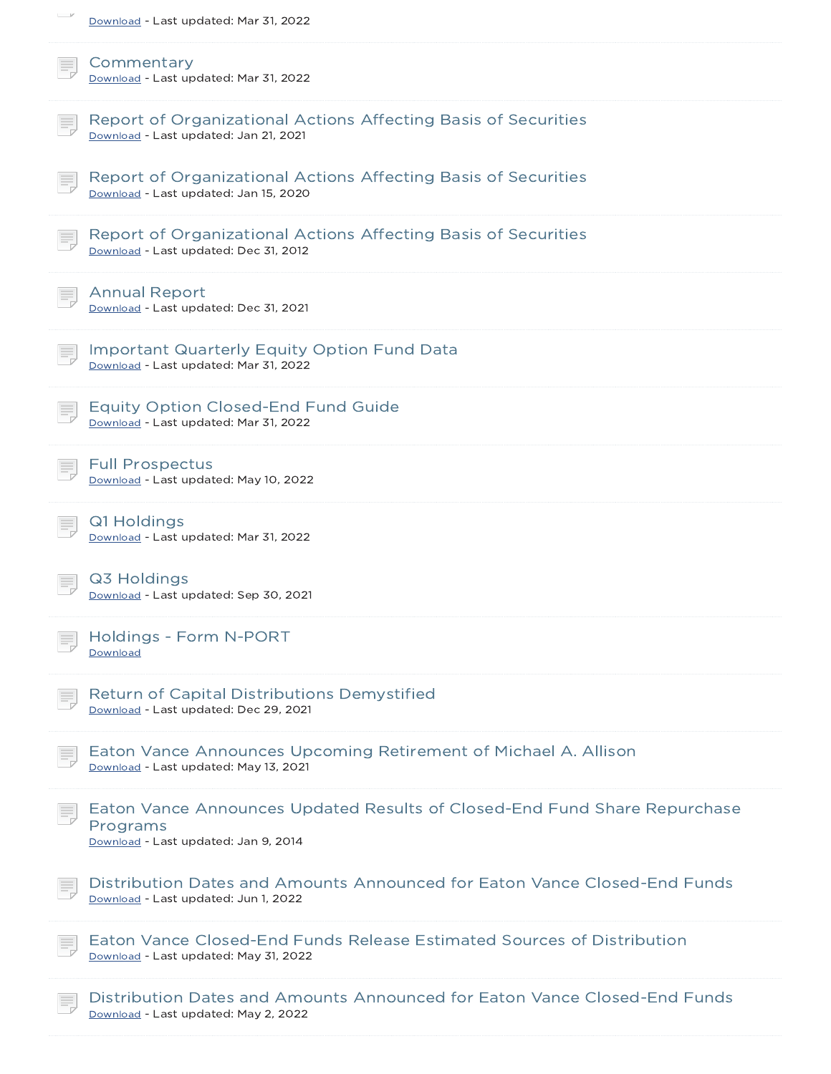| $-$<br>Download - Last updated: Mar 31, 2022                                                                                  |
|-------------------------------------------------------------------------------------------------------------------------------|
| Commentary<br>Download - Last updated: Mar 31, 2022                                                                           |
| Report of Organizational Actions Affecting Basis of Securities<br>Download - Last updated: Jan 21, 2021                       |
| Report of Organizational Actions Affecting Basis of Securities<br>Download - Last updated: Jan 15, 2020                       |
| Report of Organizational Actions Affecting Basis of Securities<br>Download - Last updated: Dec 31, 2012                       |
| <b>Annual Report</b><br>Download - Last updated: Dec 31, 2021                                                                 |
| <b>Important Quarterly Equity Option Fund Data</b><br>Download - Last updated: Mar 31, 2022                                   |
| <b>Equity Option Closed-End Fund Guide</b><br>Download - Last updated: Mar 31, 2022                                           |
| <b>Full Prospectus</b><br>Download - Last updated: May 10, 2022                                                               |
| Q1 Holdings<br>Download - Last updated: Mar 31, 2022                                                                          |
| Q3 Holdings<br>Download - Last updated: Sep 30, 2021                                                                          |
| Holdings - Form N-PORT<br>Download                                                                                            |
| Return of Capital Distributions Demystified<br>Download - Last updated: Dec 29, 2021                                          |
| Eaton Vance Announces Upcoming Retirement of Michael A. Allison<br>Download - Last updated: May 13, 2021                      |
| Eaton Vance Announces Updated Results of Closed-End Fund Share Repurchase<br>Programs<br>Download - Last updated: Jan 9, 2014 |
| Distribution Dates and Amounts Announced for Eaton Vance Closed-End Funds<br>Download - Last updated: Jun 1, 2022             |
| Eaton Vance Closed-End Funds Release Estimated Sources of Distribution<br>Download - Last updated: May 31, 2022               |
| Distribution Dates and Amounts Announced for Eaton Vance Closed-End Funds<br>Download - Last updated: May 2, 2022             |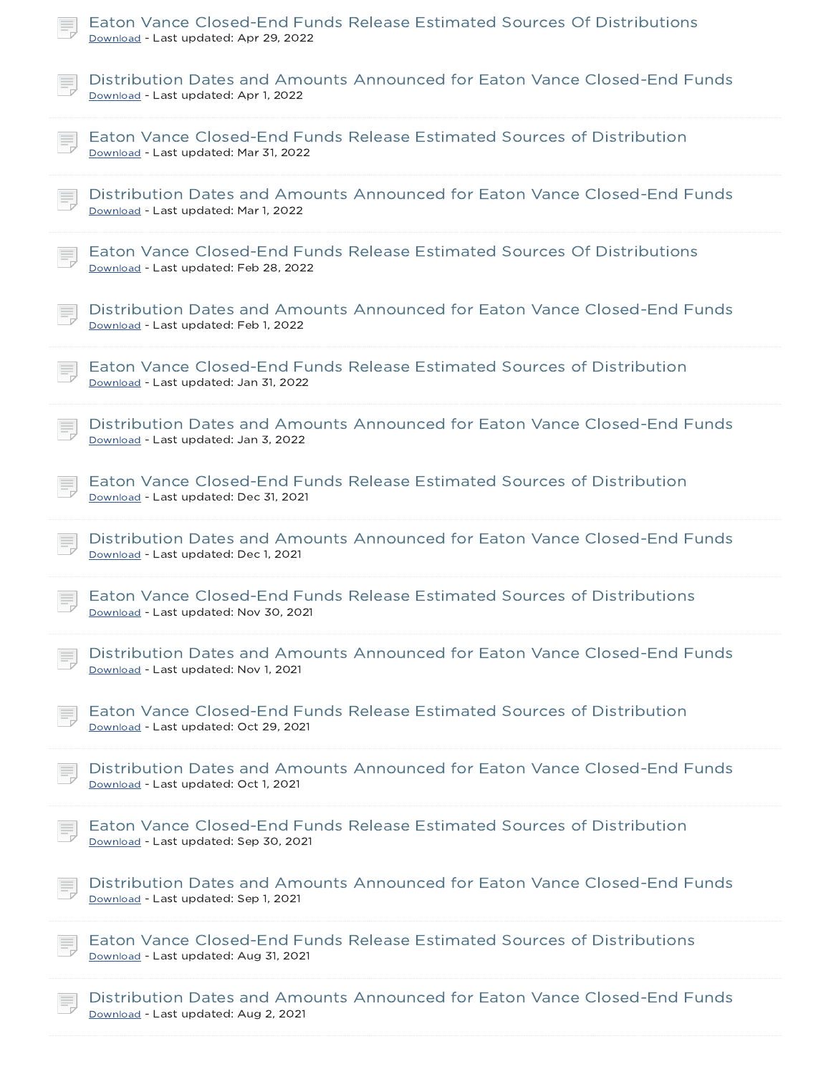| Eaton Vance Closed-End Funds Release Estimated Sources Of Distributions<br>Download - Last updated: Apr 29, 2022  |
|-------------------------------------------------------------------------------------------------------------------|
| Distribution Dates and Amounts Announced for Eaton Vance Closed-End Funds<br>Download - Last updated: Apr 1, 2022 |
| Eaton Vance Closed-End Funds Release Estimated Sources of Distribution<br>Download - Last updated: Mar 31, 2022   |
| Distribution Dates and Amounts Announced for Eaton Vance Closed-End Funds<br>Download - Last updated: Mar 1, 2022 |
| Eaton Vance Closed-End Funds Release Estimated Sources Of Distributions<br>Download - Last updated: Feb 28, 2022  |
| Distribution Dates and Amounts Announced for Eaton Vance Closed-End Funds<br>Download - Last updated: Feb 1, 2022 |
| Eaton Vance Closed-End Funds Release Estimated Sources of Distribution<br>Download - Last updated: Jan 31, 2022   |
| Distribution Dates and Amounts Announced for Eaton Vance Closed-End Funds<br>Download - Last updated: Jan 3, 2022 |
| Eaton Vance Closed-End Funds Release Estimated Sources of Distribution<br>Download - Last updated: Dec 31, 2021   |
| Distribution Dates and Amounts Announced for Eaton Vance Closed-End Funds<br>Download - Last updated: Dec 1, 2021 |
| Eaton Vance Closed-End Funds Release Estimated Sources of Distributions<br>Download - Last updated: Nov 30, 2021  |
| Distribution Dates and Amounts Announced for Eaton Vance Closed-End Funds<br>Download - Last updated: Nov 1, 2021 |
| Eaton Vance Closed-End Funds Release Estimated Sources of Distribution<br>Download - Last updated: Oct 29, 2021   |
| Distribution Dates and Amounts Announced for Eaton Vance Closed-End Funds<br>Download - Last updated: Oct 1, 2021 |
| Eaton Vance Closed-End Funds Release Estimated Sources of Distribution<br>Download - Last updated: Sep 30, 2021   |
| Distribution Dates and Amounts Announced for Eaton Vance Closed-End Funds<br>Download - Last updated: Sep 1, 2021 |
| Eaton Vance Closed-End Funds Release Estimated Sources of Distributions<br>Download - Last updated: Aug 31, 2021  |
| Distribution Dates and Amounts Announced for Eaton Vance Closed-End Funds<br>Download - Last updated: Aug 2, 2021 |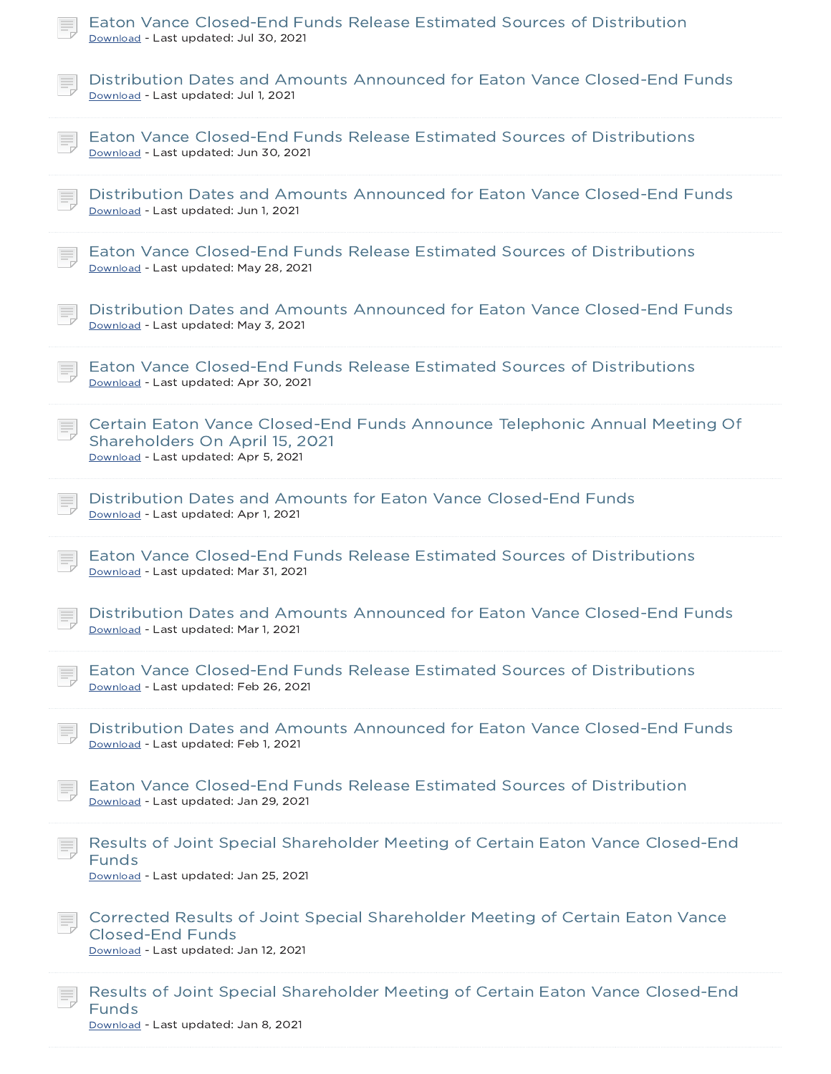| Eaton Vance Closed-End Funds Release Estimated Sources of Distribution<br>Download - Last updated: Jul 30, 2021                                      |
|------------------------------------------------------------------------------------------------------------------------------------------------------|
| Distribution Dates and Amounts Announced for Eaton Vance Closed-End Funds<br>Download - Last updated: Jul 1, 2021                                    |
| Eaton Vance Closed-End Funds Release Estimated Sources of Distributions<br>Download - Last updated: Jun 30, 2021                                     |
| Distribution Dates and Amounts Announced for Eaton Vance Closed-End Funds<br>Download - Last updated: Jun 1, 2021                                    |
| Eaton Vance Closed-End Funds Release Estimated Sources of Distributions<br>Download - Last updated: May 28, 2021                                     |
| Distribution Dates and Amounts Announced for Eaton Vance Closed-End Funds<br>Download - Last updated: May 3, 2021                                    |
| Eaton Vance Closed-End Funds Release Estimated Sources of Distributions<br>Download - Last updated: Apr 30, 2021                                     |
| Certain Eaton Vance Closed-End Funds Announce Telephonic Annual Meeting Of<br>Shareholders On April 15, 2021<br>Download - Last updated: Apr 5, 2021 |
| Distribution Dates and Amounts for Eaton Vance Closed-End Funds<br>Download - Last updated: Apr 1, 2021                                              |
| Eaton Vance Closed-End Funds Release Estimated Sources of Distributions<br>Download - Last updated: Mar 31, 2021                                     |
| Distribution Dates and Amounts Announced for Eaton Vance Closed-End Funds<br>Download - Last updated: Mar 1, 2021                                    |
| Eaton Vance Closed-End Funds Release Estimated Sources of Distributions<br>Download - Last updated: Feb 26, 2021                                     |
| Distribution Dates and Amounts Announced for Eaton Vance Closed-End Funds<br>Download - Last updated: Feb 1, 2021                                    |
| Eaton Vance Closed-End Funds Release Estimated Sources of Distribution<br>Download - Last updated: Jan 29, 2021                                      |
| Results of Joint Special Shareholder Meeting of Certain Eaton Vance Closed-End<br>Funds<br>Download - Last updated: Jan 25, 2021                     |
| Corrected Results of Joint Special Shareholder Meeting of Certain Eaton Vance<br>Closed-End Funds<br>Download - Last updated: Jan 12, 2021           |
| Results of Joint Special Shareholder Meeting of Certain Eaton Vance Closed-End<br><b>Funds</b><br>Download - Last updated: Jan 8, 2021               |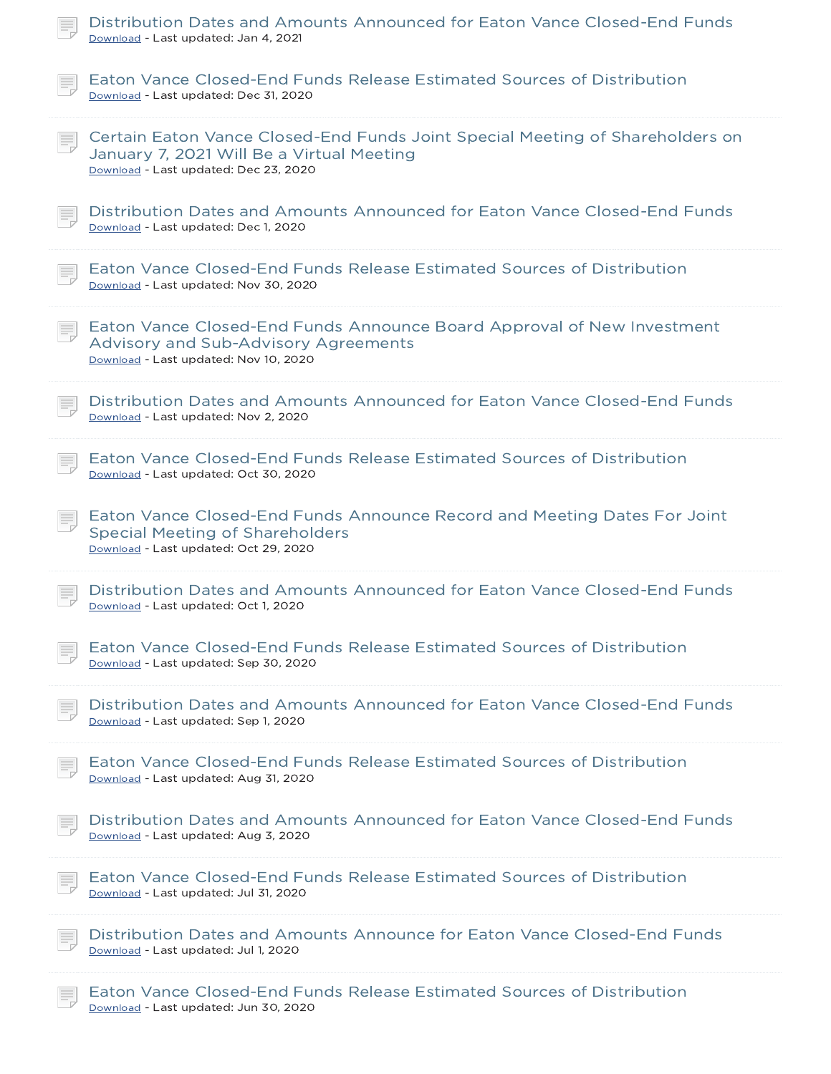| Distribution Dates and Amounts Announced for Eaton Vance Closed-End Funds<br>Download - Last updated: Jan 4, 2021                                                   |
|---------------------------------------------------------------------------------------------------------------------------------------------------------------------|
| Eaton Vance Closed-End Funds Release Estimated Sources of Distribution<br>Download - Last updated: Dec 31, 2020                                                     |
| Certain Eaton Vance Closed-End Funds Joint Special Meeting of Shareholders on<br>January 7, 2021 Will Be a Virtual Meeting<br>Download - Last updated: Dec 23, 2020 |
| Distribution Dates and Amounts Announced for Eaton Vance Closed-End Funds<br>Download - Last updated: Dec 1, 2020                                                   |
| Eaton Vance Closed-End Funds Release Estimated Sources of Distribution<br>Download - Last updated: Nov 30, 2020                                                     |
| Eaton Vance Closed-End Funds Announce Board Approval of New Investment<br><b>Advisory and Sub-Advisory Agreements</b><br>Download - Last updated: Nov 10, 2020      |
| Distribution Dates and Amounts Announced for Eaton Vance Closed-End Funds<br>Download - Last updated: Nov 2, 2020                                                   |
| Eaton Vance Closed-End Funds Release Estimated Sources of Distribution<br>Download - Last updated: Oct 30, 2020                                                     |
| Eaton Vance Closed-End Funds Announce Record and Meeting Dates For Joint<br><b>Special Meeting of Shareholders</b><br>Download - Last updated: Oct 29, 2020         |
| Distribution Dates and Amounts Announced for Eaton Vance Closed-End Funds<br>Download - Last updated: Oct 1, 2020                                                   |
| Eaton Vance Closed-End Funds Release Estimated Sources of Distribution<br>Download - Last updated: Sep 30, 2020                                                     |
| Distribution Dates and Amounts Announced for Eaton Vance Closed-End Funds<br>Download - Last updated: Sep 1, 2020                                                   |
| Eaton Vance Closed-End Funds Release Estimated Sources of Distribution<br>Download - Last updated: Aug 31, 2020                                                     |
| Distribution Dates and Amounts Announced for Eaton Vance Closed-End Funds<br>Download - Last updated: Aug 3, 2020                                                   |
| Eaton Vance Closed-End Funds Release Estimated Sources of Distribution<br>Download - Last updated: Jul 31, 2020                                                     |
| Distribution Dates and Amounts Announce for Eaton Vance Closed-End Funds<br>Download - Last updated: Jul 1, 2020                                                    |
| Eaton Vance Closed-End Funds Release Estimated Sources of Distribution<br>Download - Last updated: Jun 30, 2020                                                     |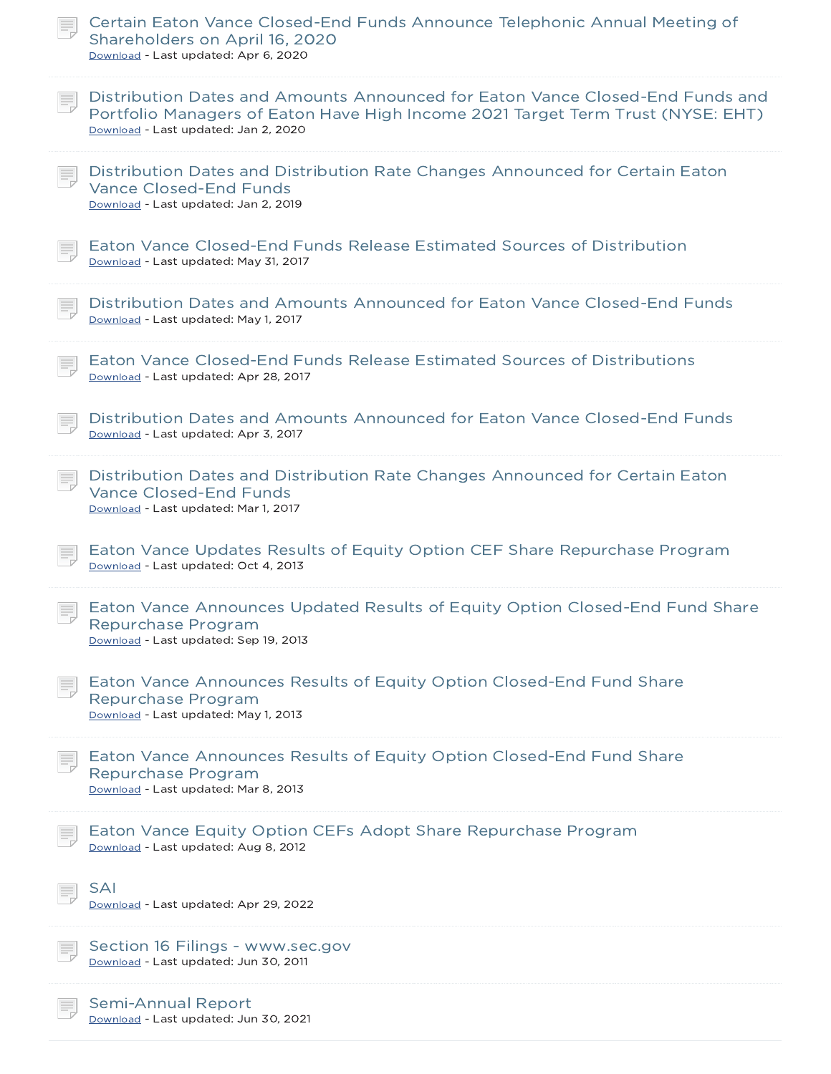| Certain Eaton Vance Closed-End Funds Announce Telephonic Annual Meeting of<br>Shareholders on April 16, 2020<br>Download - Last updated: Apr 6, 2020                                                     |
|----------------------------------------------------------------------------------------------------------------------------------------------------------------------------------------------------------|
| Distribution Dates and Amounts Announced for Eaton Vance Closed-End Funds and<br>Portfolio Managers of Eaton Have High Income 2021 Target Term Trust (NYSE: EHT)<br>Download - Last updated: Jan 2, 2020 |
| Distribution Dates and Distribution Rate Changes Announced for Certain Eaton<br>Vance Closed-End Funds<br>Download - Last updated: Jan 2, 2019                                                           |
| Eaton Vance Closed-End Funds Release Estimated Sources of Distribution<br>Download - Last updated: May 31, 2017                                                                                          |
| Distribution Dates and Amounts Announced for Eaton Vance Closed-End Funds<br>Download - Last updated: May 1, 2017                                                                                        |
| Eaton Vance Closed-End Funds Release Estimated Sources of Distributions<br>Download - Last updated: Apr 28, 2017                                                                                         |
| Distribution Dates and Amounts Announced for Eaton Vance Closed-End Funds<br>Download - Last updated: Apr 3, 2017                                                                                        |
| Distribution Dates and Distribution Rate Changes Announced for Certain Eaton<br><b>Vance Closed-End Funds</b><br>Download - Last updated: Mar 1, 2017                                                    |
| Eaton Vance Updates Results of Equity Option CEF Share Repurchase Program<br>Download - Last updated: Oct 4, 2013                                                                                        |
| Eaton Vance Announces Updated Results of Equity Option Closed-End Fund Share<br>Repurchase Program<br>Download - Last updated: Sep 19, 2013                                                              |
| Eaton Vance Announces Results of Equity Option Closed-End Fund Share<br>Repurchase Program<br>Download - Last updated: May 1, 2013                                                                       |
| Eaton Vance Announces Results of Equity Option Closed-End Fund Share<br>Repurchase Program<br>Download - Last updated: Mar 8, 2013                                                                       |
| Eaton Vance Equity Option CEFs Adopt Share Repurchase Program<br>Download - Last updated: Aug 8, 2012                                                                                                    |
| <b>SAI</b><br>Download - Last updated: Apr 29, 2022                                                                                                                                                      |
| Section 16 Filings - www.sec.gov<br>Download - Last updated: Jun 30, 2011                                                                                                                                |
| <b>Semi-Annual Report</b><br>Download - Last updated: Jun 30, 2021                                                                                                                                       |